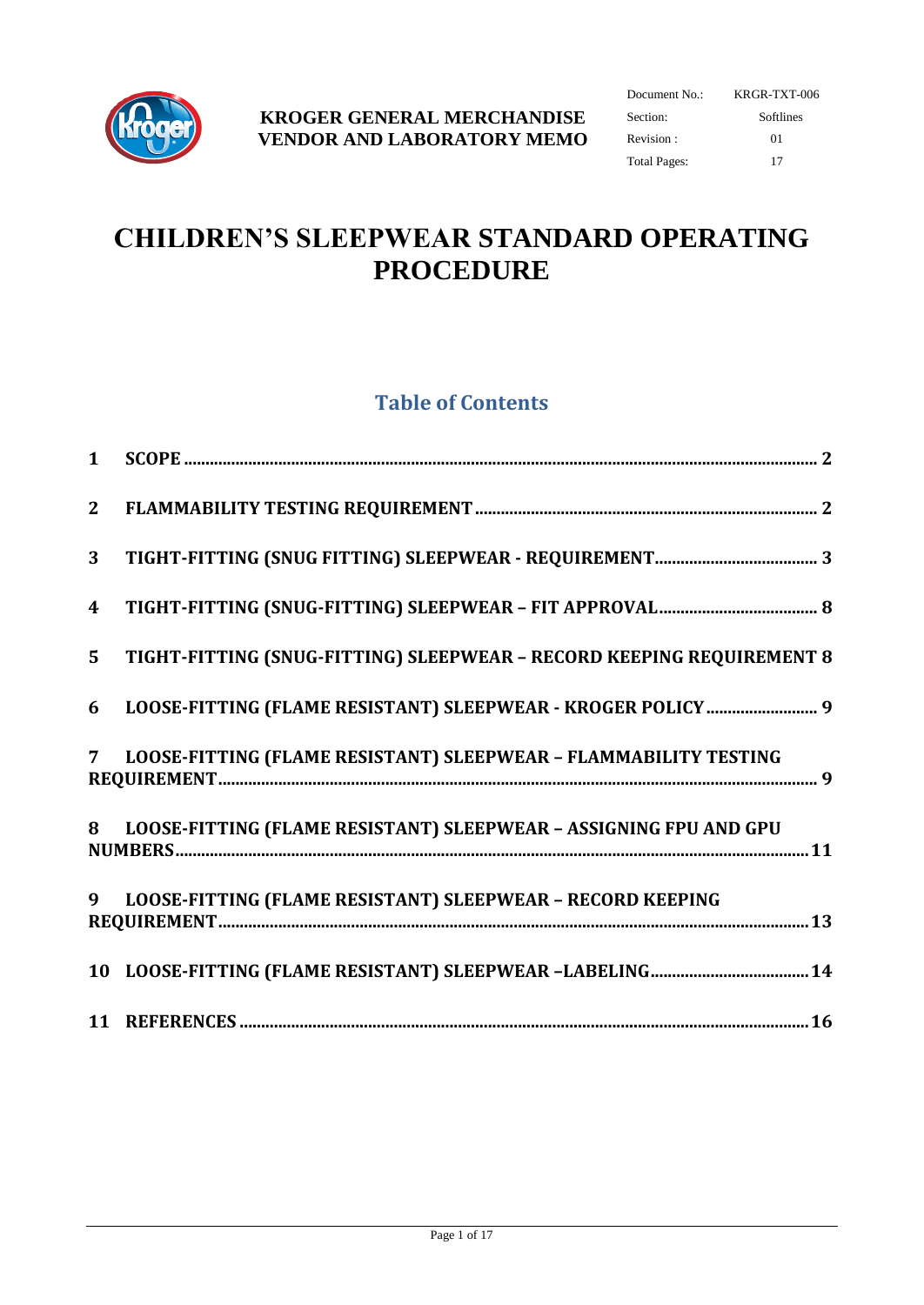

| Document No.: | KRGR-TXT-006 |  |  |  |
|---------------|--------------|--|--|--|
| Section:      | Softlines    |  |  |  |
| Revision:     | $^{01}$      |  |  |  |
| Total Pages:  | 17           |  |  |  |

# **CHILDREN'S SLEEPWEAR STANDARD OPERATING PROCEDURE**

## **Table of Contents**

| 2 <sup>1</sup>   |                                                                       |  |
|------------------|-----------------------------------------------------------------------|--|
| 3 <sup>1</sup>   |                                                                       |  |
| $\boldsymbol{4}$ |                                                                       |  |
| 5 <sup>1</sup>   | TIGHT-FITTING (SNUG-FITTING) SLEEPWEAR - RECORD KEEPING REQUIREMENT 8 |  |
| 6                | LOOSE-FITTING (FLAME RESISTANT) SLEEPWEAR - KROGER POLICY  9          |  |
| 7 <sup>7</sup>   | LOOSE-FITTING (FLAME RESISTANT) SLEEPWEAR - FLAMMABILITY TESTING      |  |
| 8                | LOOSE-FITTING (FLAME RESISTANT) SLEEPWEAR - ASSIGNING FPU AND GPU     |  |
| $\boldsymbol{q}$ | LOOSE-FITTING (FLAME RESISTANT) SLEEPWEAR - RECORD KEEPING            |  |
|                  |                                                                       |  |
|                  |                                                                       |  |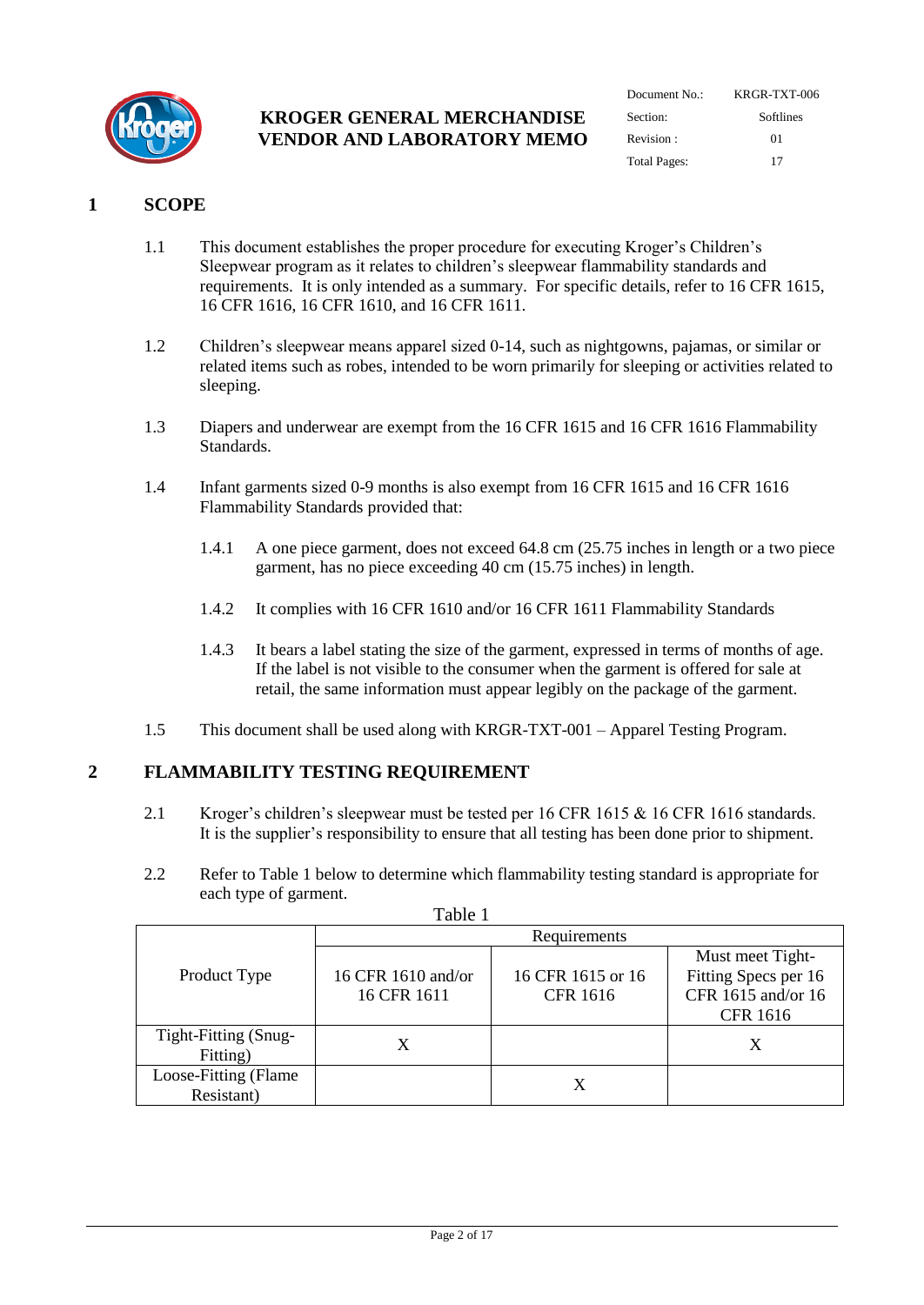

| Document $No:$      | KRGR-TXT-006 |  |  |  |  |
|---------------------|--------------|--|--|--|--|
| Section:            | Softlines    |  |  |  |  |
| Revision:           | 01           |  |  |  |  |
| <b>Total Pages:</b> | 17           |  |  |  |  |

## <span id="page-1-0"></span>**1 SCOPE**

- 1.1 This document establishes the proper procedure for executing Kroger's Children's Sleepwear program as it relates to children's sleepwear flammability standards and requirements. It is only intended as a summary. For specific details, refer to 16 CFR 1615, 16 CFR 1616, 16 CFR 1610, and 16 CFR 1611.
- 1.2 Children's sleepwear means apparel sized 0-14, such as nightgowns, pajamas, or similar or related items such as robes, intended to be worn primarily for sleeping or activities related to sleeping.
- 1.3 Diapers and underwear are exempt from the 16 CFR 1615 and 16 CFR 1616 Flammability Standards.
- 1.4 Infant garments sized 0-9 months is also exempt from 16 CFR 1615 and 16 CFR 1616 Flammability Standards provided that:
	- 1.4.1 A one piece garment, does not exceed 64.8 cm (25.75 inches in length or a two piece garment, has no piece exceeding 40 cm (15.75 inches) in length.
	- 1.4.2 It complies with 16 CFR 1610 and/or 16 CFR 1611 Flammability Standards
	- 1.4.3 It bears a label stating the size of the garment, expressed in terms of months of age. If the label is not visible to the consumer when the garment is offered for sale at retail, the same information must appear legibly on the package of the garment.
- 1.5 This document shall be used along with KRGR-TXT-001 Apparel Testing Program.

## <span id="page-1-1"></span>**2 FLAMMABILITY TESTING REQUIREMENT**

- 2.1 Kroger's children's sleepwear must be tested per 16 CFR 1615 & 16 CFR 1616 standards. It is the supplier's responsibility to ensure that all testing has been done prior to shipment.
- 2.2 Refer to Table 1 below to determine which flammability testing standard is appropriate for each type of garment.

|                       | Requirements       |                   |                      |  |  |  |
|-----------------------|--------------------|-------------------|----------------------|--|--|--|
|                       |                    |                   | Must meet Tight-     |  |  |  |
| Product Type          | 16 CFR 1610 and/or | 16 CFR 1615 or 16 | Fitting Specs per 16 |  |  |  |
|                       | 16 CFR 1611        | <b>CFR 1616</b>   | CFR 1615 and/or 16   |  |  |  |
|                       |                    |                   | <b>CFR 1616</b>      |  |  |  |
| Tight-Fitting (Snug-  |                    |                   |                      |  |  |  |
| Fitting)              |                    |                   |                      |  |  |  |
| Loose-Fitting (Flame) |                    |                   |                      |  |  |  |
| Resistant)            |                    |                   |                      |  |  |  |

Table 1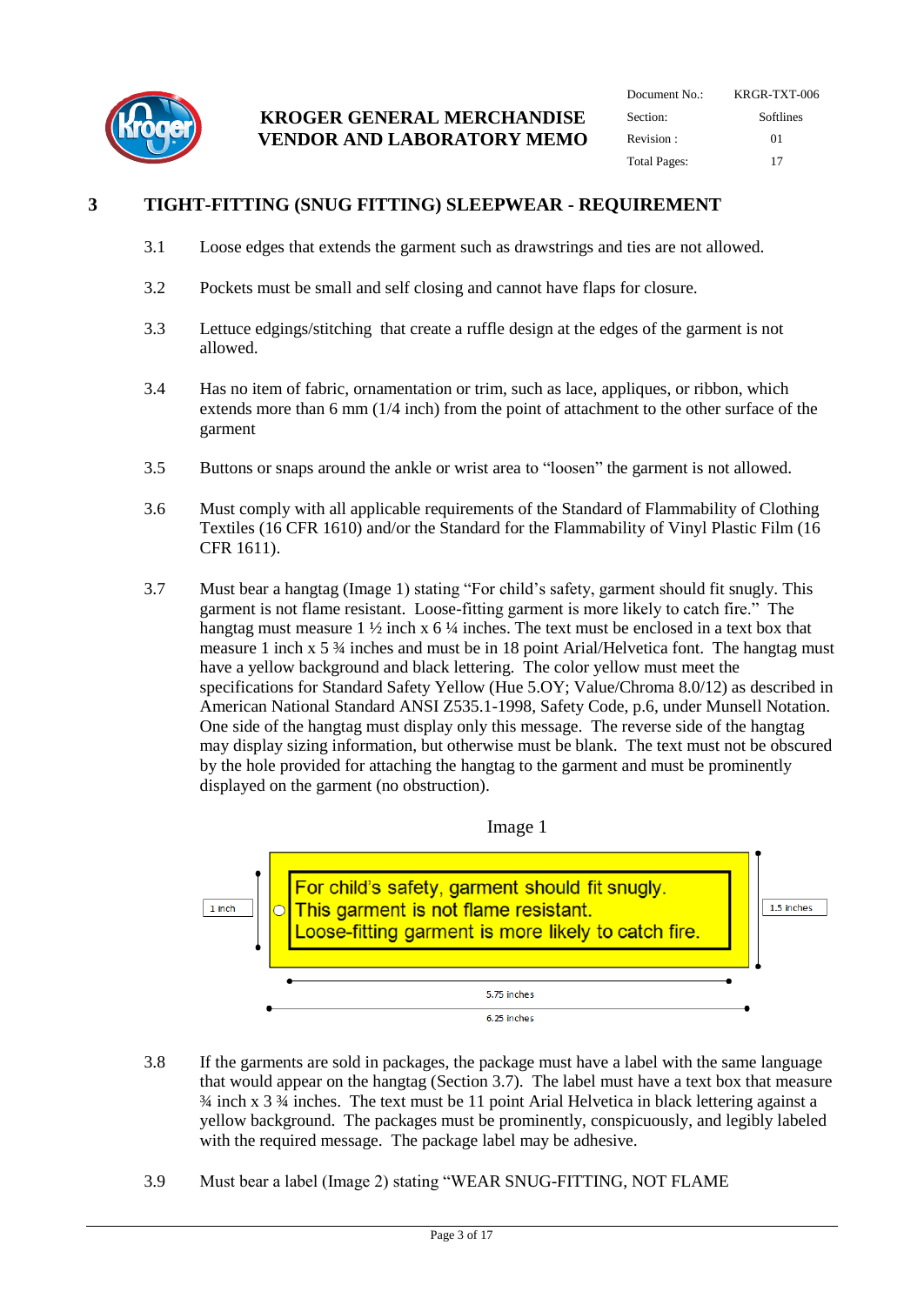

| Document No.:       | KRGR-TXT-006 |  |  |  |
|---------------------|--------------|--|--|--|
| Section:            | Softlines    |  |  |  |
| Revision:           | $^{01}$      |  |  |  |
| <b>Total Pages:</b> | 17           |  |  |  |

## <span id="page-2-0"></span>**3 TIGHT-FITTING (SNUG FITTING) SLEEPWEAR - REQUIREMENT**

- 3.1 Loose edges that extends the garment such as drawstrings and ties are not allowed.
- 3.2 Pockets must be small and self closing and cannot have flaps for closure.
- 3.3 Lettuce edgings/stitching that create a ruffle design at the edges of the garment is not allowed.
- 3.4 Has no item of fabric, ornamentation or trim, such as lace, appliques, or ribbon, which extends more than 6 mm (1/4 inch) from the point of attachment to the other surface of the garment
- 3.5 Buttons or snaps around the ankle or wrist area to "loosen" the garment is not allowed.
- 3.6 Must comply with all applicable requirements of the Standard of Flammability of Clothing Textiles (16 CFR 1610) and/or the Standard for the Flammability of Vinyl Plastic Film (16 CFR 1611).
- 3.7 Must bear a hangtag (Image 1) stating "For child's safety, garment should fit snugly. This garment is not flame resistant. Loose-fitting garment is more likely to catch fire." The hangtag must measure 1  $\frac{1}{2}$  inch x 6  $\frac{1}{4}$  inches. The text must be enclosed in a text box that measure 1 inch x 5 ¾ inches and must be in 18 point Arial/Helvetica font. The hangtag must have a yellow background and black lettering. The color yellow must meet the specifications for Standard Safety Yellow (Hue 5.OY; Value/Chroma 8.0/12) as described in American National Standard ANSI Z535.1-1998, Safety Code, p.6, under Munsell Notation. One side of the hangtag must display only this message. The reverse side of the hangtag may display sizing information, but otherwise must be blank. The text must not be obscured by the hole provided for attaching the hangtag to the garment and must be prominently displayed on the garment (no obstruction).



- 3.8 If the garments are sold in packages, the package must have a label with the same language that would appear on the hangtag (Section 3.7). The label must have a text box that measure ¾ inch x 3 ¾ inches. The text must be 11 point Arial Helvetica in black lettering against a yellow background. The packages must be prominently, conspicuously, and legibly labeled with the required message. The package label may be adhesive.
- 3.9 Must bear a label (Image 2) stating "WEAR SNUG-FITTING, NOT FLAME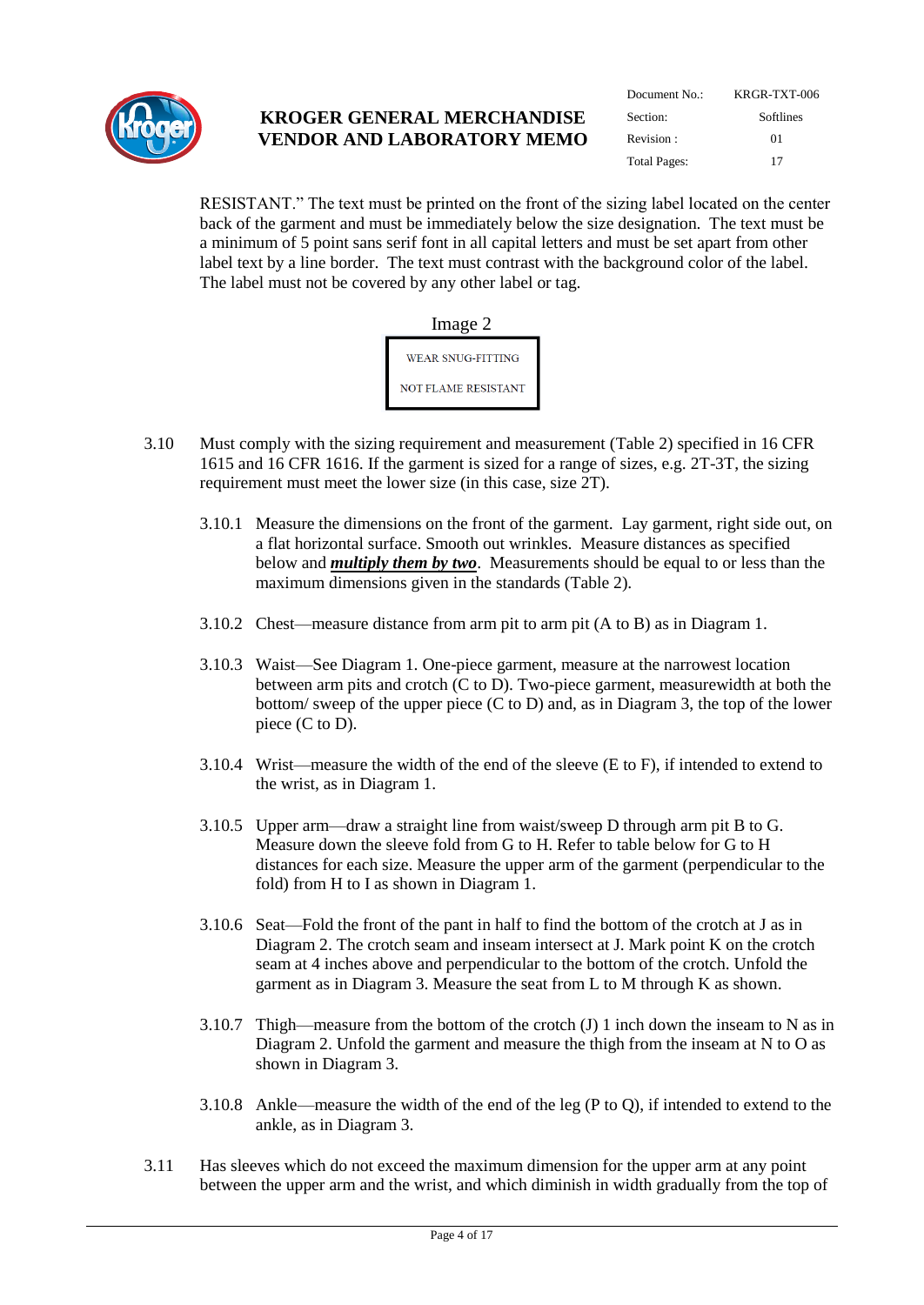

| Document $No:$ | KRGR-TXT-006 |  |  |  |  |
|----------------|--------------|--|--|--|--|
| Section:       | Softlines    |  |  |  |  |
| Revision:      | $^{01}$      |  |  |  |  |
| Total Pages:   | 17           |  |  |  |  |

RESISTANT." The text must be printed on the front of the sizing label located on the center back of the garment and must be immediately below the size designation. The text must be a minimum of 5 point sans serif font in all capital letters and must be set apart from other label text by a line border. The text must contrast with the background color of the label. The label must not be covered by any other label or tag.



- 3.10 Must comply with the sizing requirement and measurement (Table 2) specified in 16 CFR 1615 and 16 CFR 1616. If the garment is sized for a range of sizes, e.g. 2T-3T, the sizing requirement must meet the lower size (in this case, size 2T).
	- 3.10.1 Measure the dimensions on the front of the garment. Lay garment, right side out, on a flat horizontal surface. Smooth out wrinkles. Measure distances as specified below and *multiply them by two*. Measurements should be equal to or less than the maximum dimensions given in the standards (Table 2).
	- 3.10.2 Chest—measure distance from arm pit to arm pit (A to B) as in Diagram 1.
	- 3.10.3 Waist—See Diagram 1. One-piece garment, measure at the narrowest location between arm pits and crotch (C to D). Two-piece garment, measurewidth at both the bottom/ sweep of the upper piece (C to D) and, as in Diagram 3, the top of the lower piece (C to D).
	- 3.10.4 Wrist—measure the width of the end of the sleeve (E to F), if intended to extend to the wrist, as in Diagram 1.
	- 3.10.5 Upper arm—draw a straight line from waist/sweep D through arm pit B to G. Measure down the sleeve fold from G to H. Refer to table below for G to H distances for each size. Measure the upper arm of the garment (perpendicular to the fold) from H to I as shown in Diagram 1.
	- 3.10.6 Seat—Fold the front of the pant in half to find the bottom of the crotch at J as in Diagram 2. The crotch seam and inseam intersect at J. Mark point K on the crotch seam at 4 inches above and perpendicular to the bottom of the crotch. Unfold the garment as in Diagram 3. Measure the seat from L to M through K as shown.
	- 3.10.7 Thigh—measure from the bottom of the crotch (J) 1 inch down the inseam to N as in Diagram 2. Unfold the garment and measure the thigh from the inseam at N to O as shown in Diagram 3.
	- 3.10.8 Ankle—measure the width of the end of the leg (P to Q), if intended to extend to the ankle, as in Diagram 3.
- 3.11 Has sleeves which do not exceed the maximum dimension for the upper arm at any point between the upper arm and the wrist, and which diminish in width gradually from the top of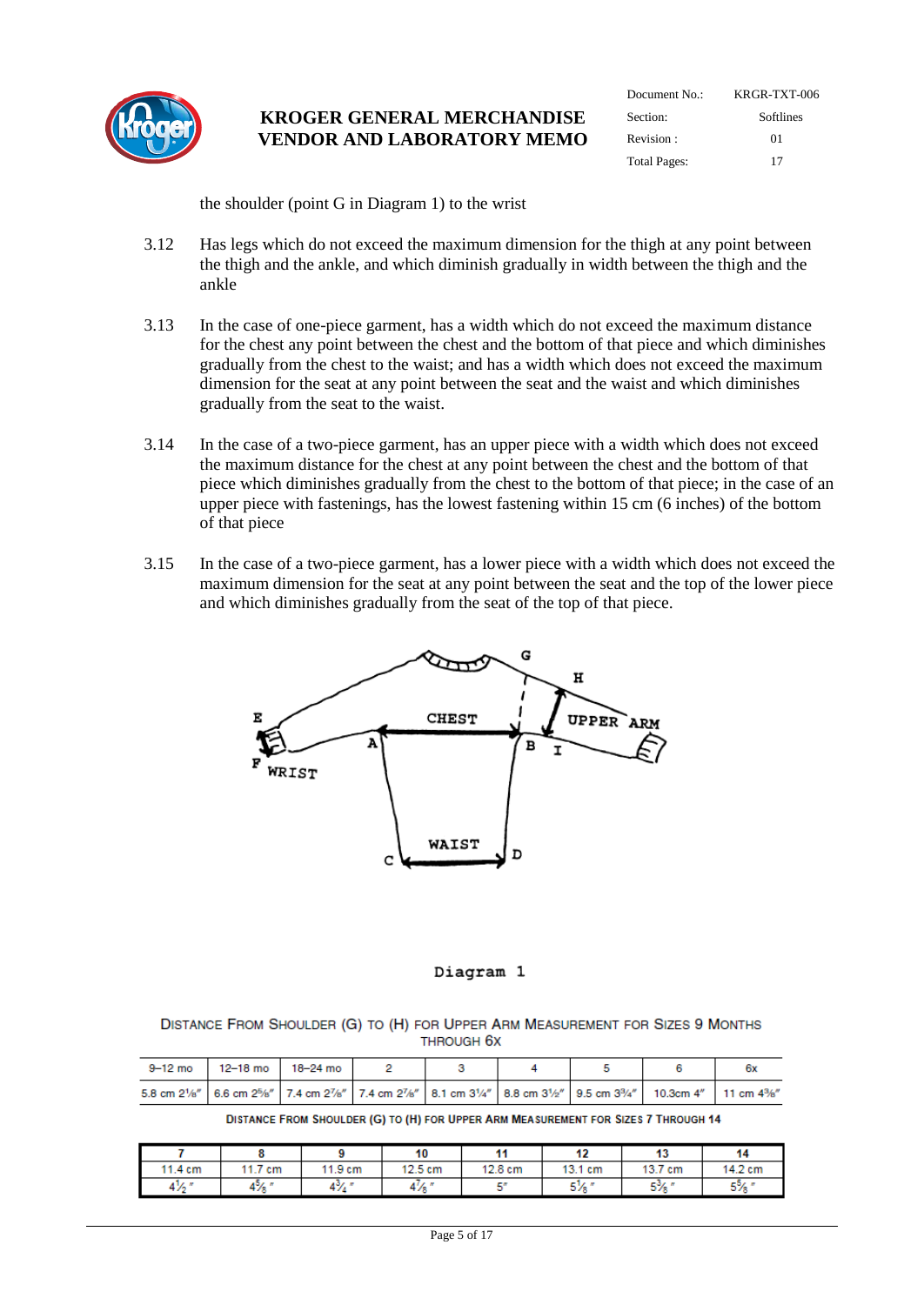

| Document $No:$      | KRGR-TXT-006 |
|---------------------|--------------|
| Section:            | Softlines    |
| Revision:           | 01           |
| <b>Total Pages:</b> | 17           |

the shoulder (point G in Diagram 1) to the wrist

- 3.12 Has legs which do not exceed the maximum dimension for the thigh at any point between the thigh and the ankle, and which diminish gradually in width between the thigh and the ankle
- 3.13 In the case of one-piece garment, has a width which do not exceed the maximum distance for the chest any point between the chest and the bottom of that piece and which diminishes gradually from the chest to the waist; and has a width which does not exceed the maximum dimension for the seat at any point between the seat and the waist and which diminishes gradually from the seat to the waist.
- 3.14 In the case of a two-piece garment, has an upper piece with a width which does not exceed the maximum distance for the chest at any point between the chest and the bottom of that piece which diminishes gradually from the chest to the bottom of that piece; in the case of an upper piece with fastenings, has the lowest fastening within 15 cm (6 inches) of the bottom of that piece
- 3.15 In the case of a two-piece garment, has a lower piece with a width which does not exceed the maximum dimension for the seat at any point between the seat and the top of the lower piece and which diminishes gradually from the seat of the top of that piece.



#### Diagram 1

#### DISTANCE FROM SHOULDER (G) TO (H) FOR UPPER ARM MEASUREMENT FOR SIZES 9 MONTHS THROUGH 6X

|  | 9-12 mo 12-18 mo 18-24 mo |  |                                                                                                                                                                                                                             |  |
|--|---------------------------|--|-----------------------------------------------------------------------------------------------------------------------------------------------------------------------------------------------------------------------------|--|
|  |                           |  | 5.8 cm 21/s"   6.6 cm 2 <sup>5</sup> /s"   7.4 cm 2 <sup>7</sup> /s"   7.4 cm 2 <sup>7</sup> /s"   8.1 cm 3 <sup>1</sup> /4"   8.8 cm 3 <sup>1</sup> /s"   9.5 cm 3 <sup>3</sup> /4"   10.3cm 4"   11 cm 4 <sup>3</sup> /s" |  |

DISTANCE FROM SHOULDER (G) TO (H) FOR UPPER ARM MEASUREMENT FOR SIZES 7 THROUGH 14

|                  |         |         | 10               | 44      | 49            | --<br>  | 14      |
|------------------|---------|---------|------------------|---------|---------------|---------|---------|
| 11.4 cm          | 11.7 cm | 11.9 cm | 12.5 cm          | 12.8 cm | 13.1 cm       | 13.7 cm | 14.2 cm |
| $4\frac{1}{2}$ " | $4\%$ " | 4% "    | $4\frac{1}{8}$ " | EП      | elz s<br>D 78 | $5\%$   | 5%      |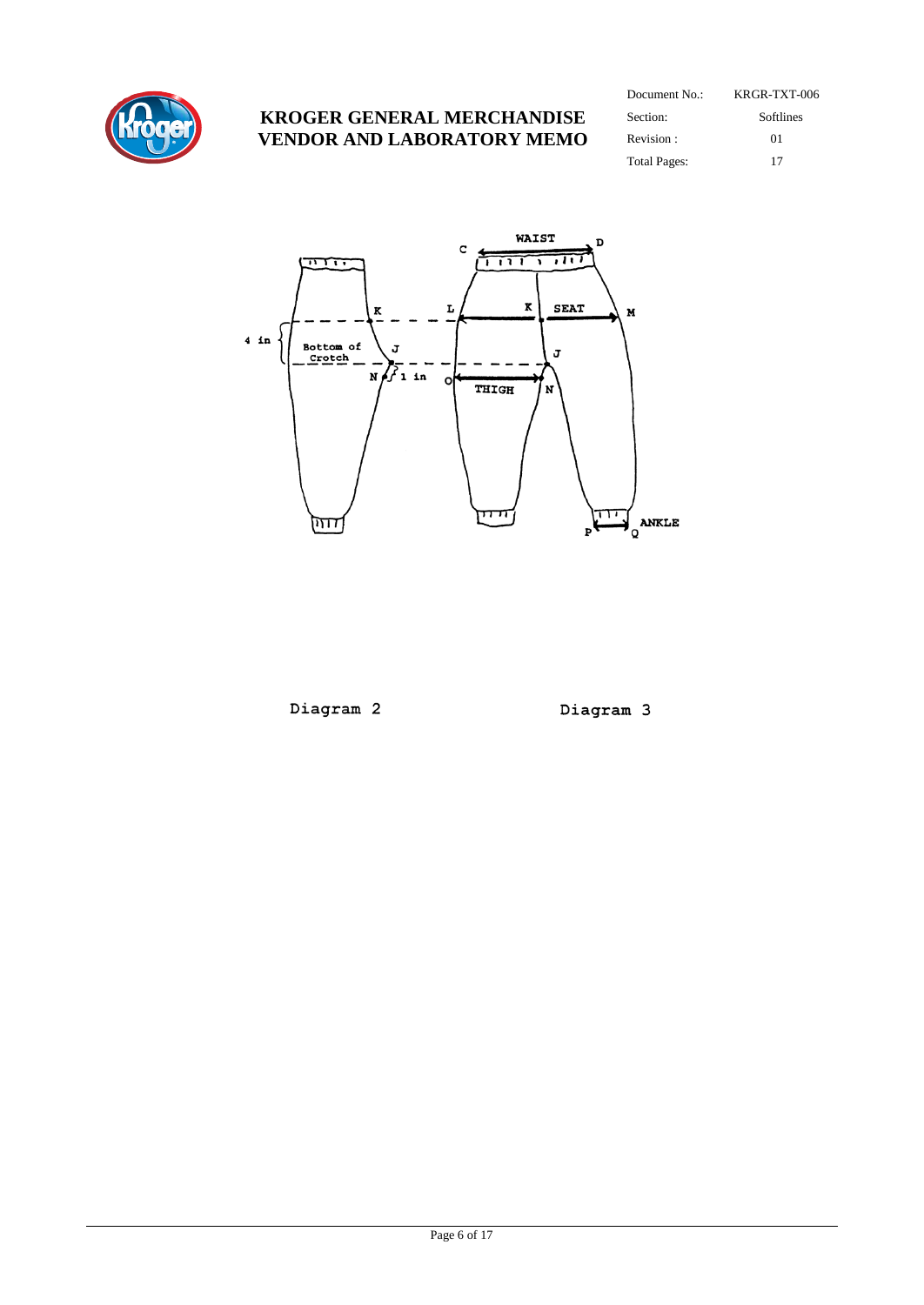

| Document $No:$      | KRGR-TXT-006 |
|---------------------|--------------|
| Section:            | Softlines    |
| Revision:           | 01           |
| <b>Total Pages:</b> | 17           |



Diagram 2

Diagram 3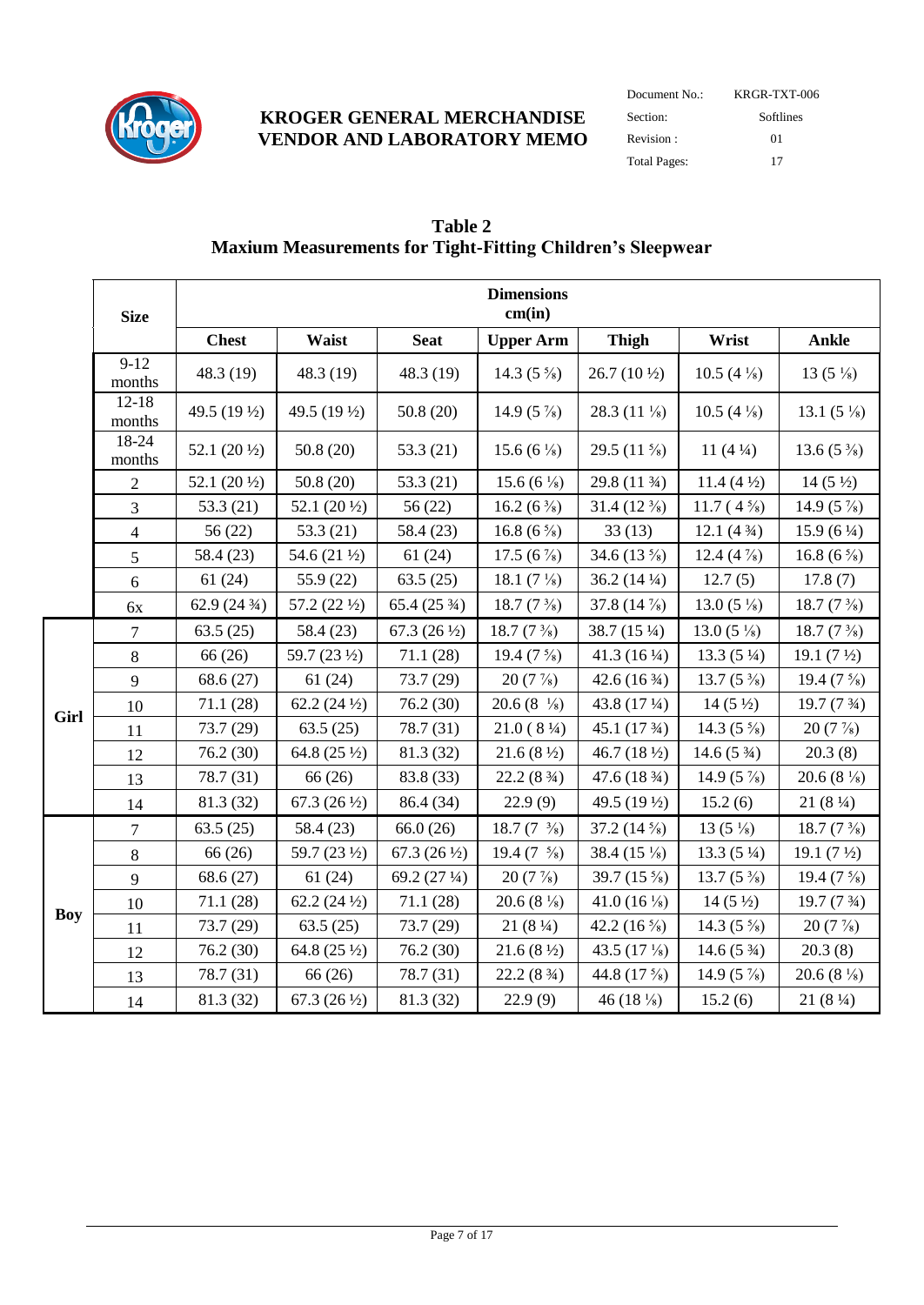

| Document No.:       | KRGR-TXT-006 |  |  |  |  |
|---------------------|--------------|--|--|--|--|
| Section:            | Softlines    |  |  |  |  |
| Revision:           | $^{01}$      |  |  |  |  |
| <b>Total Pages:</b> | 17           |  |  |  |  |

|            | <b>Size</b>         |                        |                        |                        | <b>Dimensions</b><br>cm(in)          |                         |                        |                         |
|------------|---------------------|------------------------|------------------------|------------------------|--------------------------------------|-------------------------|------------------------|-------------------------|
|            |                     | <b>Chest</b>           | Waist                  | <b>Seat</b>            | <b>Upper Arm</b>                     | <b>Thigh</b>            | Wrist                  | Ankle                   |
|            | $9-12$<br>months    | 48.3 (19)              | 48.3 (19)              | 48.3 (19)              | 14.3 $(5 \frac{5}{8})$               | $26.7(10\frac{1}{2})$   | 10.5 $(4\frac{1}{8})$  | 13 $(5\frac{1}{8})$     |
|            | $12 - 18$<br>months | 49.5 (19 1/2)          | 49.5 (19 1/2)          | 50.8(20)               | 14.9 $(5\%)$                         | 28.3 $(11\frac{1}{8})$  | 10.5 $(4\frac{1}{8})$  | 13.1 $(5\frac{1}{8})$   |
|            | 18-24<br>months     | 52.1 $(20\frac{1}{2})$ | 50.8(20)               | 53.3 (21)              | 15.6 (6 $\frac{1}{8}$ )              | 29.5 $(11 \frac{5}{8})$ | 11 $(4\frac{1}{4})$    | 13.6 $(5\frac{3}{8})$   |
|            | $\sqrt{2}$          | 52.1 $(20\frac{1}{2})$ | 50.8(20)               | 53.3 (21)              | 15.6 (6 $\frac{1}{8}$ )              | 29.8 (11 3/4)           | 11.4 $(4\frac{1}{2})$  | $14(5\frac{1}{2})$      |
|            | $\overline{3}$      | 53.3 (21)              | 52.1 $(20\frac{1}{2})$ | 56(22)                 | 16.2 (6 $\frac{3}{8}$ )              | $31.4(12\frac{3}{8})$   | 11.7 $(4\frac{5}{8})$  | 14.9 $(5\frac{7}{8})$   |
|            | $\overline{4}$      | 56(22)                 | 53.3 $(21)$            | 58.4 (23)              | 16.8 (6 $\frac{5}{8}$ )              | 33(13)                  | 12.1(434)              | $15.9(6\frac{1}{4})$    |
|            | 5                   | 58.4 (23)              | 54.6 (21 1/2)          | 61(24)                 | 17.5 (6 $\frac{7}{8}$ )              | 34.6 $(13\frac{5}{8})$  | 12.4 $(4\frac{7}{8})$  | 16.8 (6 $\frac{5}{8}$ ) |
|            | 6                   | 61(24)                 | 55.9 (22)              | 63.5(25)               | 18.1 $(7\frac{1}{8})$                | 36.2 $(14\frac{1}{4})$  | 12.7(5)                | 17.8(7)                 |
|            | 6x                  | 62.9 $(24\frac{3}{4})$ | 57.2 $(22\frac{1}{2})$ | 65.4 $(25\frac{3}{4})$ | 18.7 $(7\frac{3}{8})$                | 37.8 $(14\frac{7}{8})$  | 13.0 $(5\frac{1}{8})$  | 18.7 $(7\frac{3}{8})$   |
|            | 7                   | 63.5(25)               | 58.4 (23)              | 67.3 $(26\frac{1}{2})$ | 18.7 $(7\frac{3}{8})$                | 38.7 (15 1/4)           | 13.0 $(5\frac{1}{8})$  | 18.7 $(7\frac{3}{8})$   |
|            | 8                   | 66 (26)                | 59.7 (23 1/2)          | 71.1 (28)              | 19.4 $(7\frac{5}{8})$                | 41.3 $(16\frac{1}{4})$  | $13.3(5\frac{1}{4})$   | 19.1 $(7\frac{1}{2})$   |
|            | 9                   | 68.6 (27)              | 61(24)                 | 73.7 (29)              | $20(7\%)$                            | 42.6 $(16\frac{3}{4})$  | 13.7 $(5\frac{3}{8})$  | 19.4 $(7\frac{5}{8})$   |
| Girl       | 10                  | 71.1(28)               | 62.2 $(24\frac{1}{2})$ | 76.2 (30)              | $20.6(8 \frac{1}{8})$                | 43.8 (17 1/4)           | $14(5\frac{1}{2})$     | 19.7(73/4)              |
|            | 11                  | 73.7 (29)              | 63.5(25)               | 78.7 (31)              | $21.0(8\frac{1}{4})$                 | 45.1 $(173/4)$          | 14.3 $(5 \frac{5}{8})$ | $20(7\%)$               |
|            | 12                  | 76.2 (30)              | 64.8 $(25\frac{1}{2})$ | 81.3 (32)              | $21.6(8\frac{1}{2})$                 | 46.7 $(18\frac{1}{2})$  | $14.6(5\frac{3}{4})$   | 20.3(8)                 |
|            | 13                  | 78.7 (31)              | 66 (26)                | 83.8 (33)              | 22.2(8 <sup>3</sup> / <sub>4</sub> ) | 47.6 $(18\frac{3}{4})$  | 14.9 $(5\frac{7}{8})$  | 20.6 $(8\frac{1}{8})$   |
|            | 14                  | 81.3 (32)              | 67.3 $(26\frac{1}{2})$ | 86.4 (34)              | 22.9(9)                              | 49.5 (19 1/2)           | 15.2(6)                | 21(81/4)                |
|            | $\tau$              | 63.5(25)               | 58.4 (23)              | 66.0(26)               | 18.7 $(7 \frac{3}{8})$               | 37.2 $(14\frac{5}{8})$  | $13(5\frac{1}{8})$     | 18.7 $(7\frac{3}{8})$   |
|            | $\,8\,$             | 66 (26)                | 59.7 (23 1/2)          | 67.3 $(26\frac{1}{2})$ | 19.4 $(7 \frac{5}{8})$               | 38.4 $(15\frac{1}{8})$  | 13.3 $(5\frac{1}{4})$  | 19.1 $(7\frac{1}{2})$   |
|            | 9                   | 68.6 (27)              | 61(24)                 | 69.2 (27 1/4)          | $20(7\%)$                            | 39.7 $(15\frac{5}{8})$  | 13.7 $(5\frac{3}{8})$  | 19.4 $(7\frac{5}{8})$   |
|            | 10                  | 71.1 (28)              | 62.2 $(24\frac{1}{2})$ | 71.1(28)               | 20.6 (8 $\frac{1}{8}$ )              | 41.0 $(16\frac{1}{8})$  | $14(5\frac{1}{2})$     | 19.7 (7 3/4)            |
| <b>Boy</b> | 11                  | 73.7 (29)              | 63.5(25)               | 73.7 (29)              | 21(81/4)                             | 42.2 $(16\frac{5}{8})$  | 14.3 $(5 \frac{5}{8})$ | $20(7\%)$               |
|            | 12                  | 76.2 (30)              | 64.8 $(25\frac{1}{2})$ | 76.2 (30)              | $21.6(8\frac{1}{2})$                 | 43.5 $(17\frac{1}{8})$  | 14.6 $(5\frac{3}{4})$  | 20.3(8)                 |
|            | 13                  | 78.7 (31)              | 66 (26)                | 78.7 (31)              | 22.2(8 <sup>3</sup> / <sub>4</sub> ) | 44.8 (17 %)             | 14.9 $(5 \frac{7}{8})$ | 20.6 $(8\frac{1}{8})$   |
|            | 14                  | 81.3 (32)              | 67.3 $(26\frac{1}{2})$ | 81.3 (32)              | 22.9(9)                              | 46 $(18\frac{1}{8})$    | 15.2(6)                | 21(81/4)                |

## **Table 2 Maxium Measurements for Tight-Fitting Children's Sleepwear**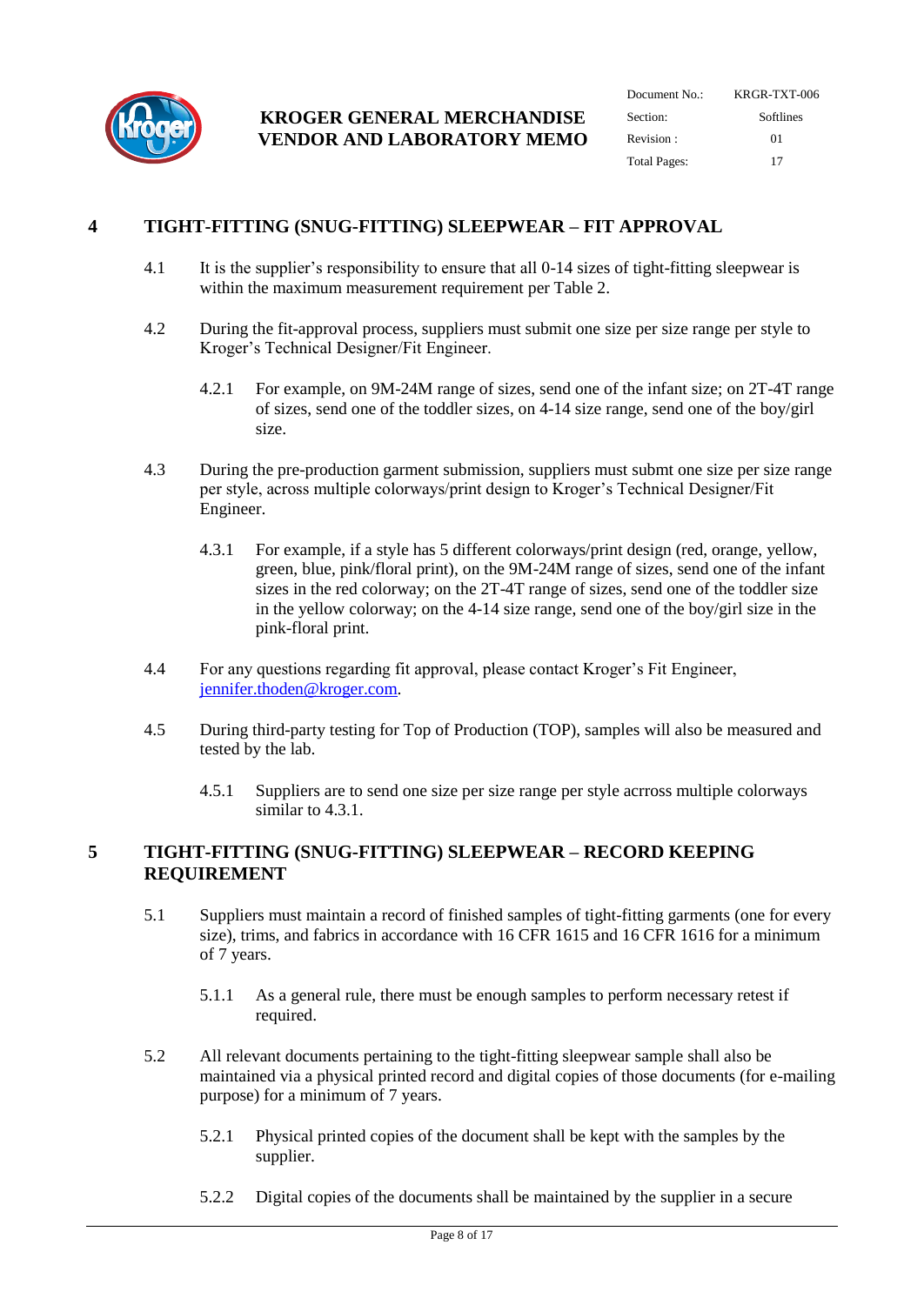

| Document No.:       | KRGR-TXT-006<br>Softlines |  |  |
|---------------------|---------------------------|--|--|
| Section:            |                           |  |  |
| Revision:           | $^{01}$                   |  |  |
| <b>Total Pages:</b> | 17                        |  |  |

## <span id="page-7-0"></span>**4 TIGHT-FITTING (SNUG-FITTING) SLEEPWEAR – FIT APPROVAL**

- 4.1 It is the supplier's responsibility to ensure that all 0-14 sizes of tight-fitting sleepwear is within the maximum measurement requirement per Table 2.
- 4.2 During the fit-approval process, suppliers must submit one size per size range per style to Kroger's Technical Designer/Fit Engineer.
	- 4.2.1 For example, on 9M-24M range of sizes, send one of the infant size; on 2T-4T range of sizes, send one of the toddler sizes, on 4-14 size range, send one of the boy/girl size.
- <span id="page-7-2"></span>4.3 During the pre-production garment submission, suppliers must submt one size per size range per style, across multiple colorways/print design to Kroger's Technical Designer/Fit Engineer.
	- 4.3.1 For example, if a style has 5 different colorways/print design (red, orange, yellow, green, blue, pink/floral print), on the 9M-24M range of sizes, send one of the infant sizes in the red colorway; on the 2T-4T range of sizes, send one of the toddler size in the yellow colorway; on the 4-14 size range, send one of the boy/girl size in the pink-floral print.
- 4.4 For any questions regarding fit approval, please contact Kroger's Fit Engineer, [jennifer.thoden@kroger.com.](mailto:jennifer.thoden@kroger.com)
- 4.5 During third-party testing for Top of Production (TOP), samples will also be measured and tested by the lab.
	- 4.5.1 Suppliers are to send one size per size range per style acrross multiple colorways similar to [4.3.1.](#page-7-2)

#### <span id="page-7-1"></span>**5 TIGHT-FITTING (SNUG-FITTING) SLEEPWEAR – RECORD KEEPING REQUIREMENT**

- 5.1 Suppliers must maintain a record of finished samples of tight-fitting garments (one for every size), trims, and fabrics in accordance with 16 CFR 1615 and 16 CFR 1616 for a minimum of 7 years.
	- 5.1.1 As a general rule, there must be enough samples to perform necessary retest if required.
- 5.2 All relevant documents pertaining to the tight-fitting sleepwear sample shall also be maintained via a physical printed record and digital copies of those documents (for e-mailing purpose) for a minimum of 7 years.
	- 5.2.1 Physical printed copies of the document shall be kept with the samples by the supplier.
	- 5.2.2 Digital copies of the documents shall be maintained by the supplier in a secure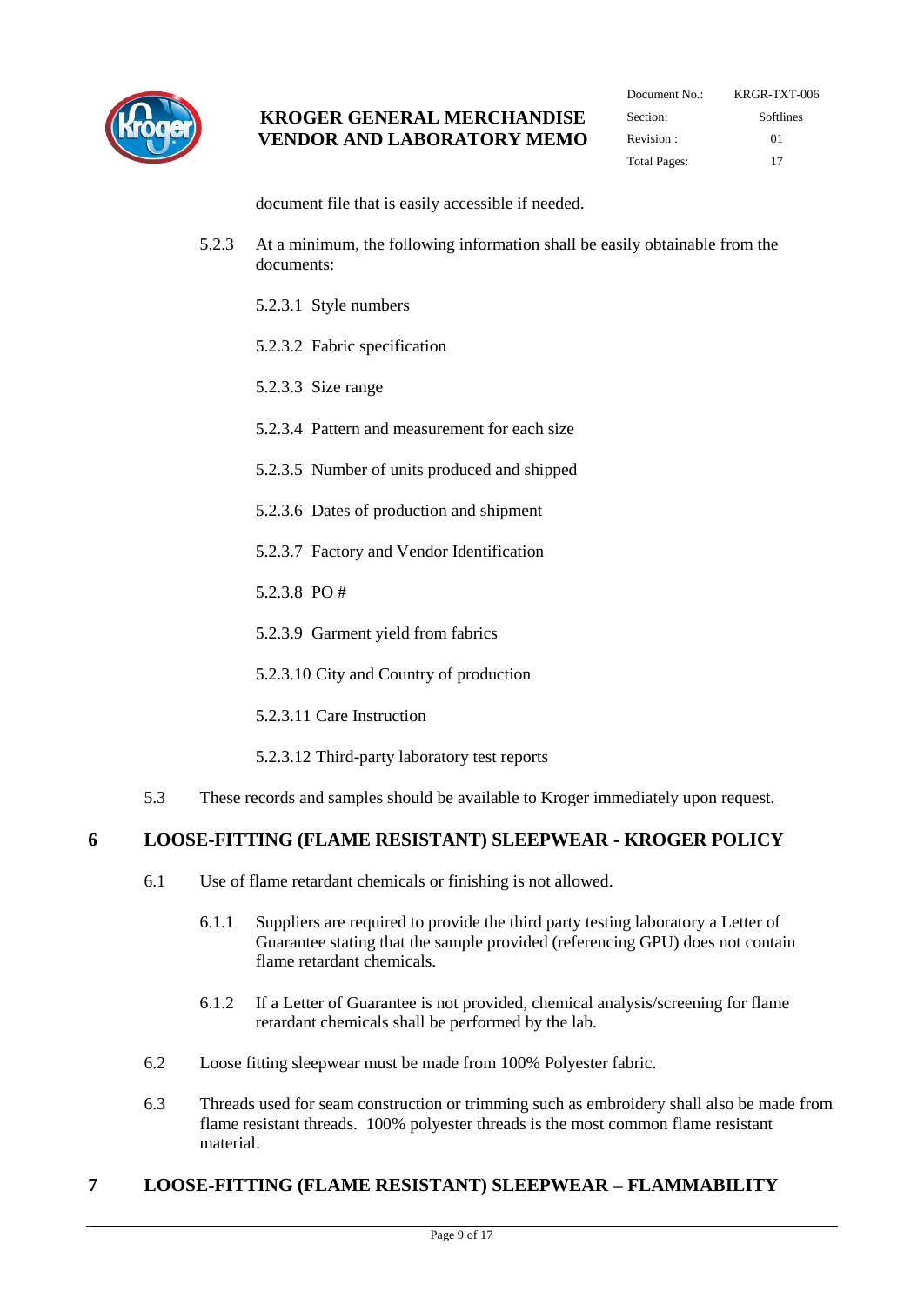

| KRGR-TXT-006 |
|--------------|
| Softlines    |
| 01           |
| 17           |
|              |

document file that is easily accessible if needed.

- 5.2.3 At a minimum, the following information shall be easily obtainable from the documents:
	- 5.2.3.1 Style numbers
	- 5.2.3.2 Fabric specification
	- 5.2.3.3 Size range
	- 5.2.3.4 Pattern and measurement for each size
	- 5.2.3.5 Number of units produced and shipped
	- 5.2.3.6 Dates of production and shipment
	- 5.2.3.7 Factory and Vendor Identification
	- 5.2.3.8 PO #
	- 5.2.3.9 Garment yield from fabrics
	- 5.2.3.10 City and Country of production
	- 5.2.3.11 Care Instruction
	- 5.2.3.12 Third-party laboratory test reports
- 5.3 These records and samples should be available to Kroger immediately upon request.

#### <span id="page-8-0"></span>**6 LOOSE-FITTING (FLAME RESISTANT) SLEEPWEAR - KROGER POLICY**

- 6.1 Use of flame retardant chemicals or finishing is not allowed.
	- 6.1.1 Suppliers are required to provide the third party testing laboratory a Letter of Guarantee stating that the sample provided (referencing GPU) does not contain flame retardant chemicals.
	- 6.1.2 If a Letter of Guarantee is not provided, chemical analysis/screening for flame retardant chemicals shall be performed by the lab.
- 6.2 Loose fitting sleepwear must be made from 100% Polyester fabric.
- 6.3 Threads used for seam construction or trimming such as embroidery shall also be made from flame resistant threads. 100% polyester threads is the most common flame resistant material.

## <span id="page-8-1"></span>**7 LOOSE-FITTING (FLAME RESISTANT) SLEEPWEAR – FLAMMABILITY**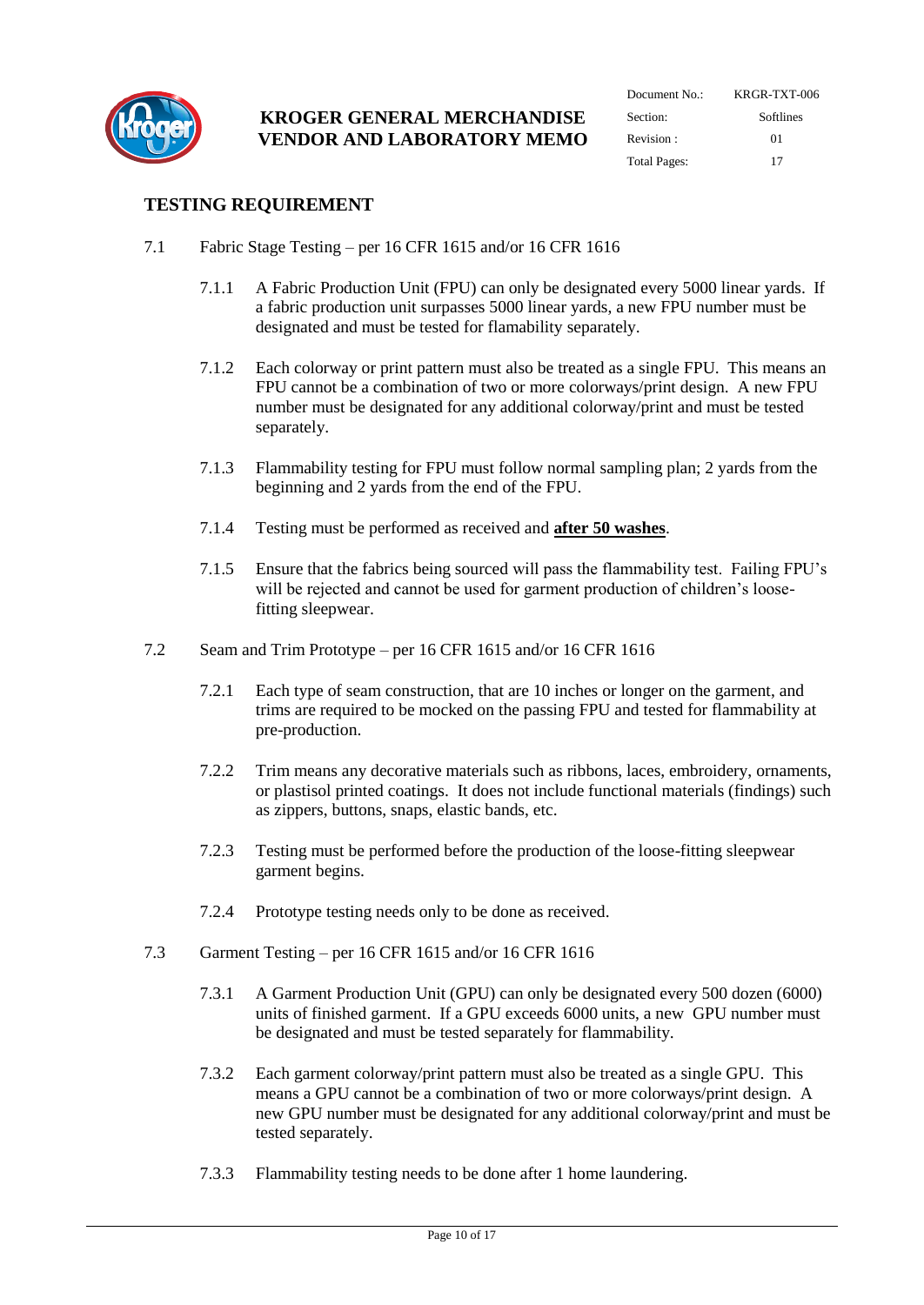

| Document $No:$      | KRGR-TXT-006 |  |  |
|---------------------|--------------|--|--|
| Section:            | Softlines    |  |  |
| Revision:           | $^{01}$      |  |  |
| <b>Total Pages:</b> | 17           |  |  |

## **TESTING REQUIREMENT**

- 7.1 Fabric Stage Testing per 16 CFR 1615 and/or 16 CFR 1616
	- 7.1.1 A Fabric Production Unit (FPU) can only be designated every 5000 linear yards. If a fabric production unit surpasses 5000 linear yards, a new FPU number must be designated and must be tested for flamability separately.
	- 7.1.2 Each colorway or print pattern must also be treated as a single FPU. This means an FPU cannot be a combination of two or more colorways/print design. A new FPU number must be designated for any additional colorway/print and must be tested separately.
	- 7.1.3 Flammability testing for FPU must follow normal sampling plan; 2 yards from the beginning and 2 yards from the end of the FPU.
	- 7.1.4 Testing must be performed as received and **after 50 washes**.
	- 7.1.5 Ensure that the fabrics being sourced will pass the flammability test. Failing FPU's will be rejected and cannot be used for garment production of children's loosefitting sleepwear.
- 7.2 Seam and Trim Prototype per 16 CFR 1615 and/or 16 CFR 1616
	- 7.2.1 Each type of seam construction, that are 10 inches or longer on the garment, and trims are required to be mocked on the passing FPU and tested for flammability at pre-production.
	- 7.2.2 Trim means any decorative materials such as ribbons, laces, embroidery, ornaments, or plastisol printed coatings. It does not include functional materials (findings) such as zippers, buttons, snaps, elastic bands, etc.
	- 7.2.3 Testing must be performed before the production of the loose-fitting sleepwear garment begins.
	- 7.2.4 Prototype testing needs only to be done as received.
- 7.3 Garment Testing per 16 CFR 1615 and/or 16 CFR 1616
	- 7.3.1 A Garment Production Unit (GPU) can only be designated every 500 dozen (6000) units of finished garment. If a GPU exceeds 6000 units, a new GPU number must be designated and must be tested separately for flammability.
	- 7.3.2 Each garment colorway/print pattern must also be treated as a single GPU. This means a GPU cannot be a combination of two or more colorways/print design. A new GPU number must be designated for any additional colorway/print and must be tested separately.
	- 7.3.3 Flammability testing needs to be done after 1 home laundering.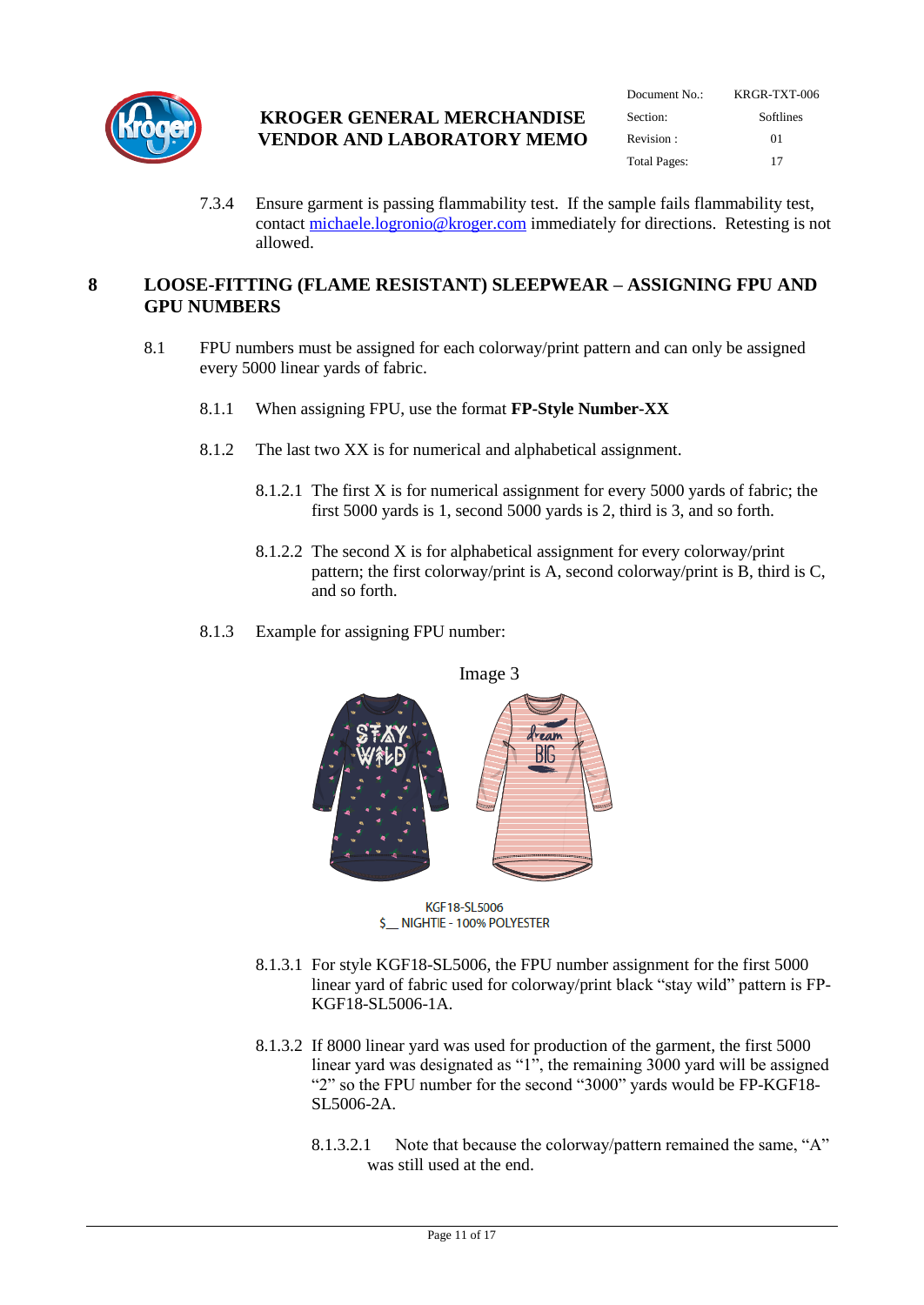

| Document No.:       | KRGR-TXT-006<br><b>Softlines</b> |  |  |
|---------------------|----------------------------------|--|--|
| Section:            |                                  |  |  |
| Revision:           | $^{01}$                          |  |  |
| <b>Total Pages:</b> | 17                               |  |  |

7.3.4 Ensure garment is passing flammability test. If the sample fails flammability test, contact [michaele.logronio@kroger.com](mailto:michaele.logronio@kroger.com) immediately for directions. Retesting is not allowed.

#### <span id="page-10-0"></span>**8 LOOSE-FITTING (FLAME RESISTANT) SLEEPWEAR – ASSIGNING FPU AND GPU NUMBERS**

- 8.1 FPU numbers must be assigned for each colorway/print pattern and can only be assigned every 5000 linear yards of fabric.
	- 8.1.1 When assigning FPU, use the format **FP-Style Number-XX**
	- 8.1.2 The last two XX is for numerical and alphabetical assignment.
		- 8.1.2.1 The first X is for numerical assignment for every 5000 yards of fabric; the first 5000 yards is 1, second 5000 yards is 2, third is 3, and so forth.
		- 8.1.2.2 The second X is for alphabetical assignment for every colorway/print pattern; the first colorway/print is A, second colorway/print is B, third is C, and so forth.
	- 8.1.3 Example for assigning FPU number:



KGF18-SL5006 \$ \_\_ NIGHTIE - 100% POLYESTER

- 8.1.3.1 For style KGF18-SL5006, the FPU number assignment for the first 5000 linear yard of fabric used for colorway/print black "stay wild" pattern is FP-KGF18-SL5006-1A.
- 8.1.3.2 If 8000 linear yard was used for production of the garment, the first 5000 linear yard was designated as "1", the remaining  $3000$  yard will be assigned "2" so the FPU number for the second "3000" yards would be FP-KGF18- SL5006-2A.
	- 8.1.3.2.1 Note that because the colorway/pattern remained the same, "A" was still used at the end.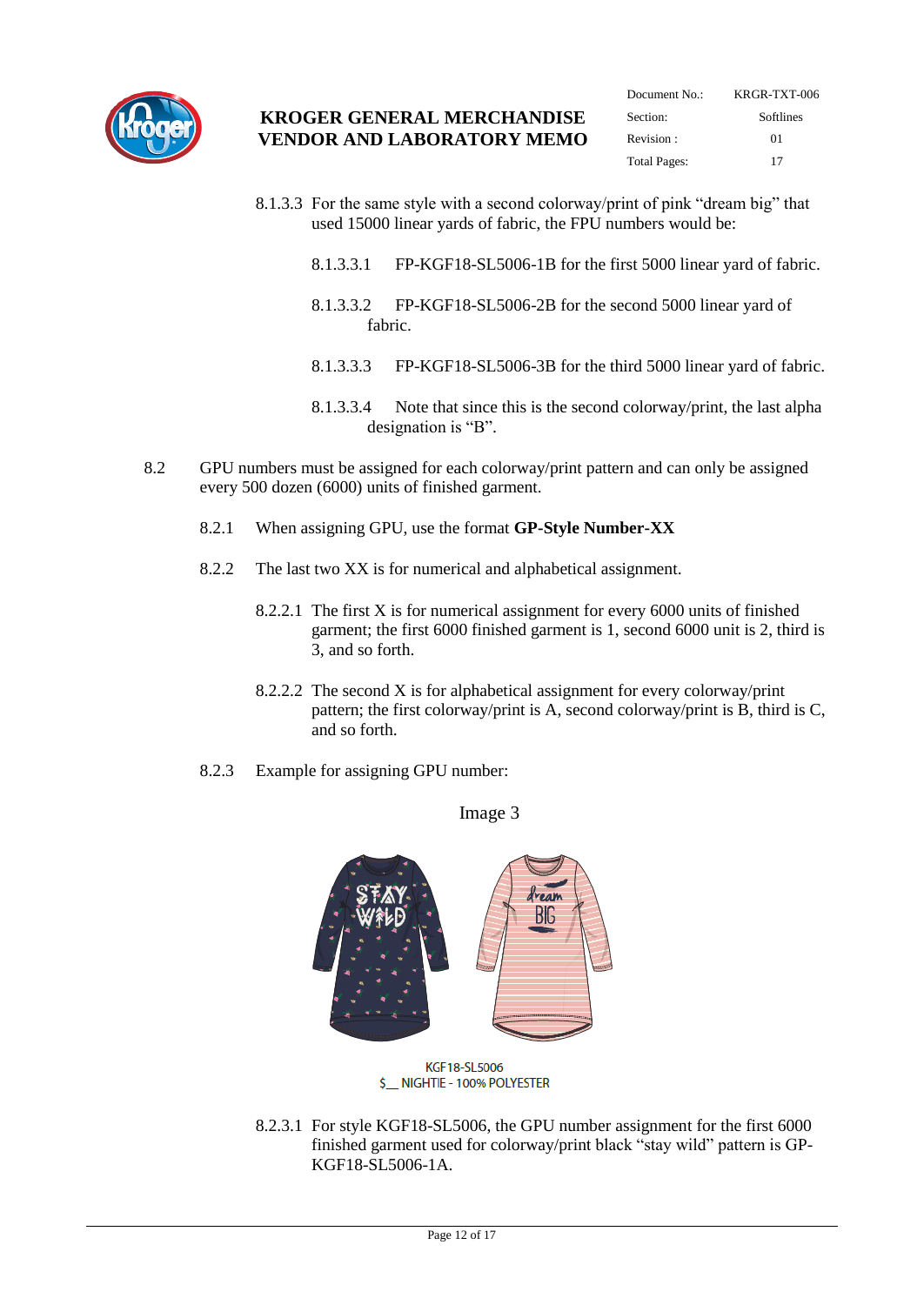

- 8.1.3.3 For the same style with a second colorway/print of pink "dream big" that used 15000 linear yards of fabric, the FPU numbers would be:
	- 8.1.3.3.1 FP-KGF18-SL5006-1B for the first 5000 linear yard of fabric.
	- 8.1.3.3.2 FP-KGF18-SL5006-2B for the second 5000 linear yard of fabric.
	- 8.1.3.3.3 FP-KGF18-SL5006-3B for the third 5000 linear yard of fabric.
	- 8.1.3.3.4 Note that since this is the second colorway/print, the last alpha designation is "B".
- 8.2 GPU numbers must be assigned for each colorway/print pattern and can only be assigned every 500 dozen (6000) units of finished garment.
	- 8.2.1 When assigning GPU, use the format **GP-Style Number-XX**
	- 8.2.2 The last two XX is for numerical and alphabetical assignment.
		- 8.2.2.1 The first X is for numerical assignment for every 6000 units of finished garment; the first 6000 finished garment is 1, second 6000 unit is 2, third is 3, and so forth.
		- 8.2.2.2 The second X is for alphabetical assignment for every colorway/print pattern; the first colorway/print is A, second colorway/print is B, third is C, and so forth.
	- 8.2.3 Example for assigning GPU number:

Image 3



- \$ \_\_ NIGHTIE 100% POLYESTER
- 8.2.3.1 For style KGF18-SL5006, the GPU number assignment for the first 6000 finished garment used for colorway/print black "stay wild" pattern is GP-KGF18-SL5006-1A.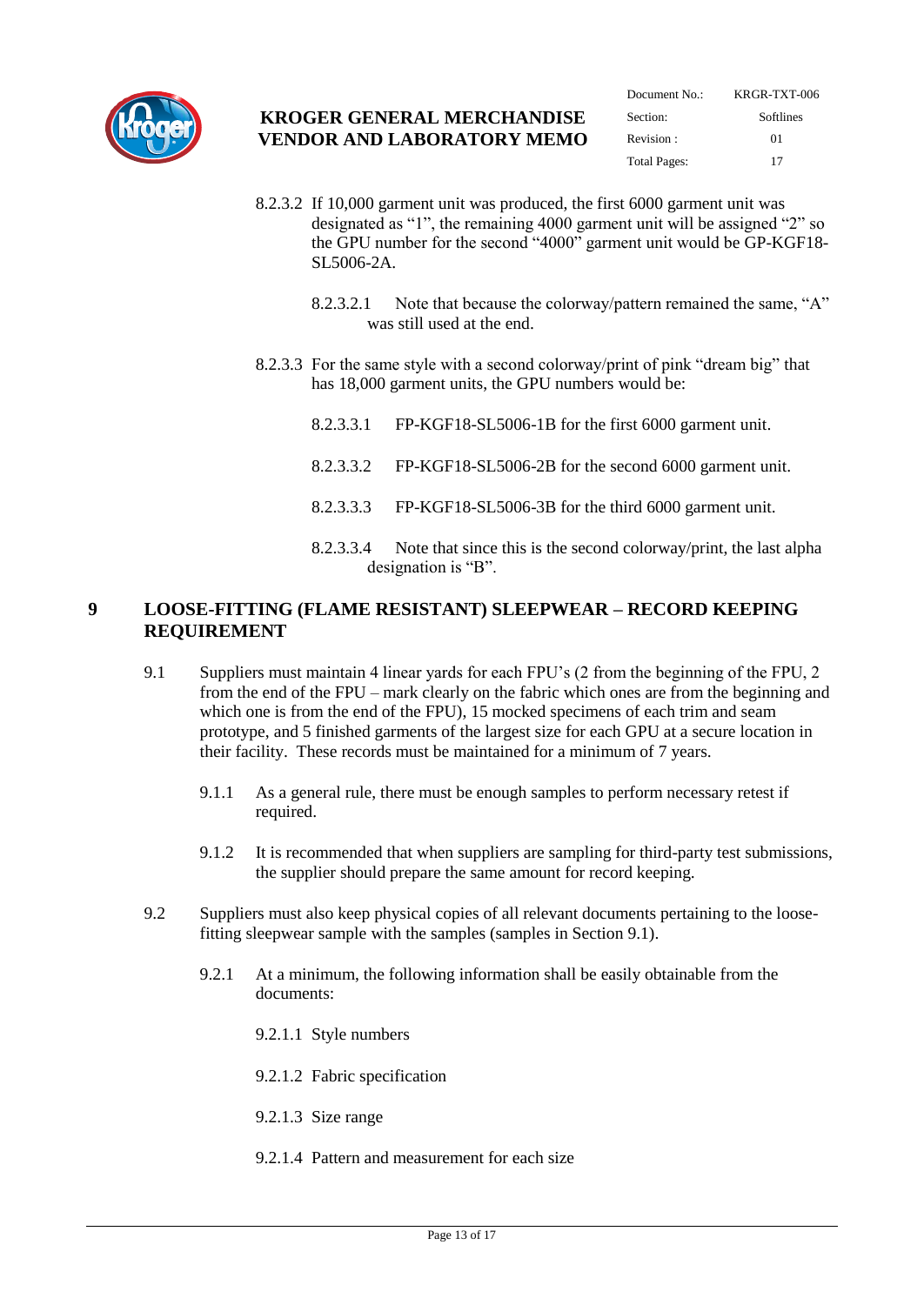

| Document $No:$      | KRGR-TXT-006 |  |  |
|---------------------|--------------|--|--|
| Section:            | Softlines    |  |  |
| Revision:           | $^{01}$      |  |  |
| <b>Total Pages:</b> | 17           |  |  |

- 8.2.3.2 If 10,000 garment unit was produced, the first 6000 garment unit was designated as "1", the remaining 4000 garment unit will be assigned "2" so the GPU number for the second "4000" garment unit would be GP-KGF18- SL5006-2A.
	- 8.2.3.2.1 Note that because the colorway/pattern remained the same, "A" was still used at the end.
- 8.2.3.3 For the same style with a second colorway/print of pink "dream big" that has 18,000 garment units, the GPU numbers would be:
	- 8.2.3.3.1 FP-KGF18-SL5006-1B for the first 6000 garment unit.
	- 8.2.3.3.2 FP-KGF18-SL5006-2B for the second 6000 garment unit.
	- 8.2.3.3.3 FP-KGF18-SL5006-3B for the third 6000 garment unit.
	- 8.2.3.3.4 Note that since this is the second colorway/print, the last alpha designation is "B".

#### <span id="page-12-0"></span>**9 LOOSE-FITTING (FLAME RESISTANT) SLEEPWEAR – RECORD KEEPING REQUIREMENT**

- 9.1 Suppliers must maintain 4 linear yards for each FPU's (2 from the beginning of the FPU, 2 from the end of the FPU – mark clearly on the fabric which ones are from the beginning and which one is from the end of the FPU), 15 mocked specimens of each trim and seam prototype, and 5 finished garments of the largest size for each GPU at a secure location in their facility. These records must be maintained for a minimum of 7 years.
	- 9.1.1 As a general rule, there must be enough samples to perform necessary retest if required.
	- 9.1.2 It is recommended that when suppliers are sampling for third-party test submissions, the supplier should prepare the same amount for record keeping.
- 9.2 Suppliers must also keep physical copies of all relevant documents pertaining to the loosefitting sleepwear sample with the samples (samples in Section 9.1).
	- 9.2.1 At a minimum, the following information shall be easily obtainable from the documents:
		- 9.2.1.1 Style numbers
		- 9.2.1.2 Fabric specification
		- 9.2.1.3 Size range
		- 9.2.1.4 Pattern and measurement for each size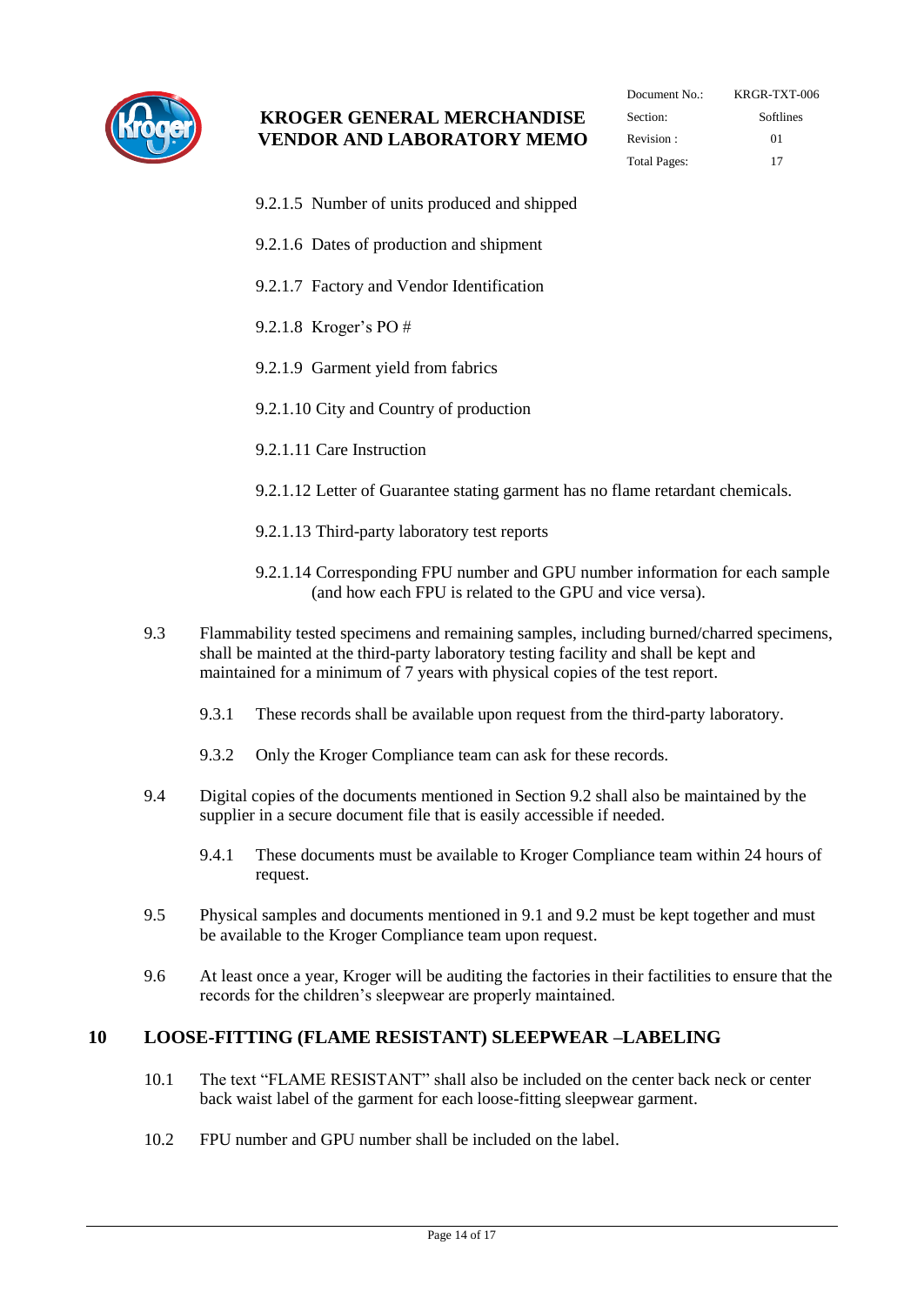

| Document $No:$      | KRGR-TXT-006 |  |  |
|---------------------|--------------|--|--|
| Section:            | Softlines    |  |  |
| Revision:           | $^{01}$      |  |  |
| <b>Total Pages:</b> | 17           |  |  |

- 9.2.1.5 Number of units produced and shipped
- 9.2.1.6 Dates of production and shipment
- 9.2.1.7 Factory and Vendor Identification
- 9.2.1.8 Kroger's PO #
- 9.2.1.9 Garment yield from fabrics
- 9.2.1.10 City and Country of production
- 9.2.1.11 Care Instruction

9.2.1.12 Letter of Guarantee stating garment has no flame retardant chemicals.

- 9.2.1.13 Third-party laboratory test reports
- 9.2.1.14 Corresponding FPU number and GPU number information for each sample (and how each FPU is related to the GPU and vice versa).
- 9.3 Flammability tested specimens and remaining samples, including burned/charred specimens, shall be mainted at the third-party laboratory testing facility and shall be kept and maintained for a minimum of 7 years with physical copies of the test report.
	- 9.3.1 These records shall be available upon request from the third-party laboratory.
	- 9.3.2 Only the Kroger Compliance team can ask for these records.
- 9.4 Digital copies of the documents mentioned in Section 9.2 shall also be maintained by the supplier in a secure document file that is easily accessible if needed.
	- 9.4.1 These documents must be available to Kroger Compliance team within 24 hours of request.
- 9.5 Physical samples and documents mentioned in 9.1 and 9.2 must be kept together and must be available to the Kroger Compliance team upon request.
- 9.6 At least once a year, Kroger will be auditing the factories in their factilities to ensure that the records for the children's sleepwear are properly maintained.

#### <span id="page-13-0"></span>**10 LOOSE-FITTING (FLAME RESISTANT) SLEEPWEAR –LABELING**

- 10.1 The text "FLAME RESISTANT" shall also be included on the center back neck or center back waist label of the garment for each loose-fitting sleepwear garment.
- 10.2 FPU number and GPU number shall be included on the label.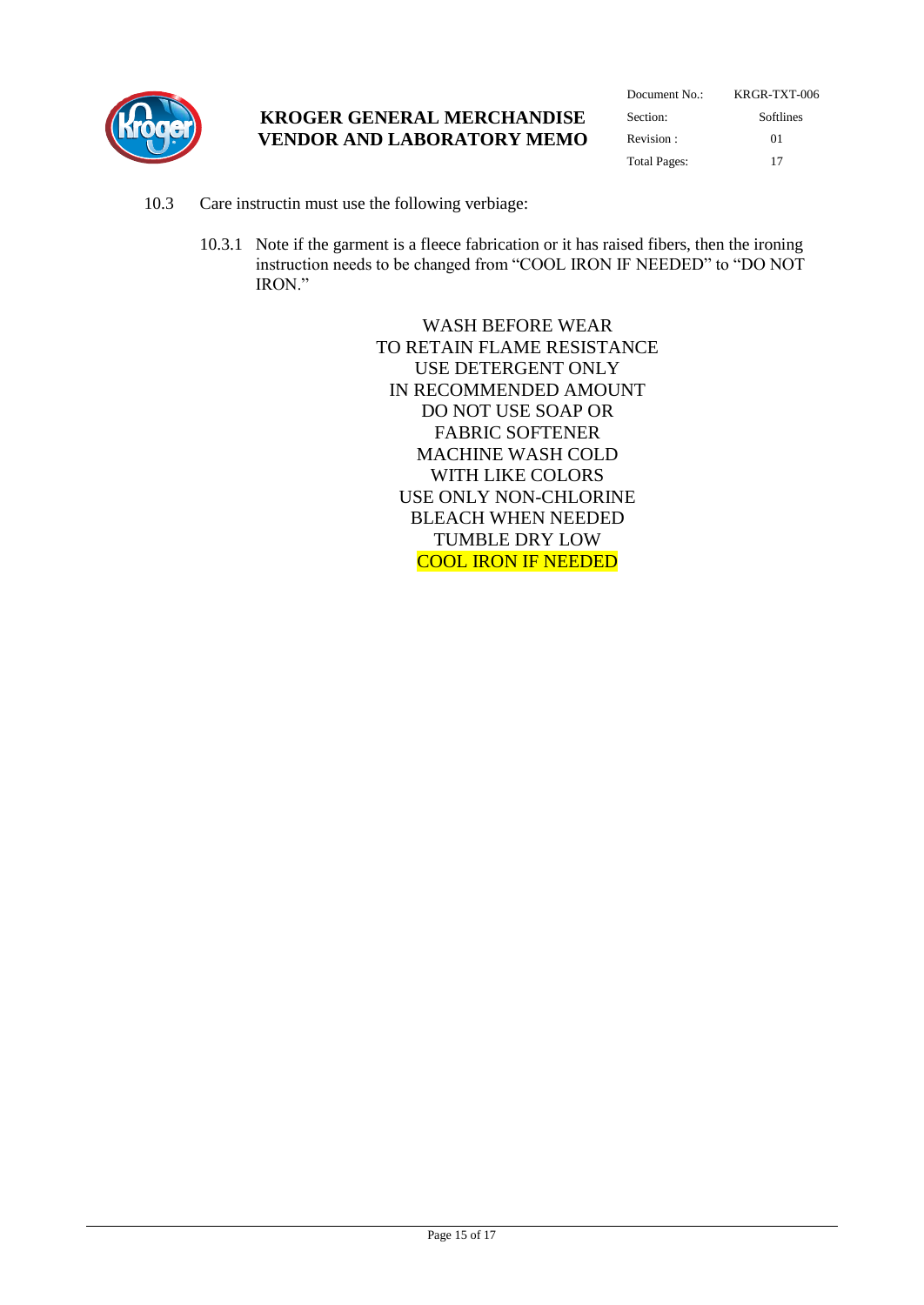

| Document No.: | KRGR-TXT-006 |  |  |
|---------------|--------------|--|--|
| Section:      | Softlines    |  |  |
| Revision:     | $^{01}$      |  |  |
| Total Pages:  | 17           |  |  |

- 10.3 Care instructin must use the following verbiage:
	- 10.3.1 Note if the garment is a fleece fabrication or it has raised fibers, then the ironing instruction needs to be changed from "COOL IRON IF NEEDED" to "DO NOT IRON."

WASH BEFORE WEAR TO RETAIN FLAME RESISTANCE USE DETERGENT ONLY IN RECOMMENDED AMOUNT DO NOT USE SOAP OR FABRIC SOFTENER MACHINE WASH COLD WITH LIKE COLORS USE ONLY NON-CHLORINE BLEACH WHEN NEEDED TUMBLE DRY LOW COOL IRON IF NEEDED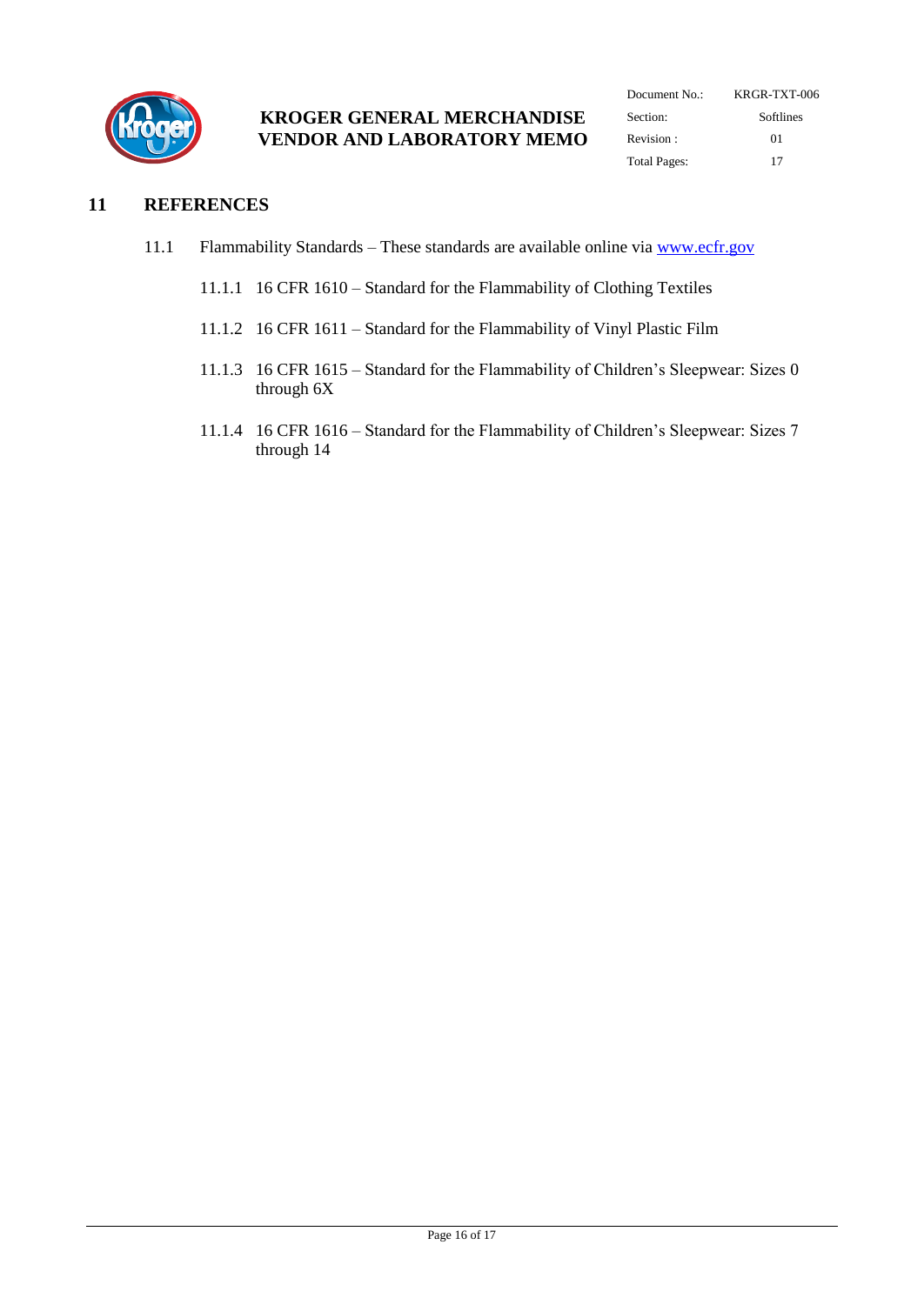

| Document No.: | KRGR-TXT-006<br>Softlines |  |  |
|---------------|---------------------------|--|--|
| Section:      |                           |  |  |
| Revision:     | $^{01}$                   |  |  |
| Total Pages:  | 17                        |  |  |

#### <span id="page-15-0"></span>**11 REFERENCES**

- 11.1 Flammability Standards These standards are available online via [www.ecfr.gov](http://www.ecfr.gov/)
	- 11.1.1 16 CFR 1610 Standard for the Flammability of Clothing Textiles
	- 11.1.2 16 CFR 1611 Standard for the Flammability of Vinyl Plastic Film
	- 11.1.3 16 CFR 1615 Standard for the Flammability of Children's Sleepwear: Sizes 0 through 6X
	- 11.1.4 16 CFR 1616 Standard for the Flammability of Children's Sleepwear: Sizes 7 through 14